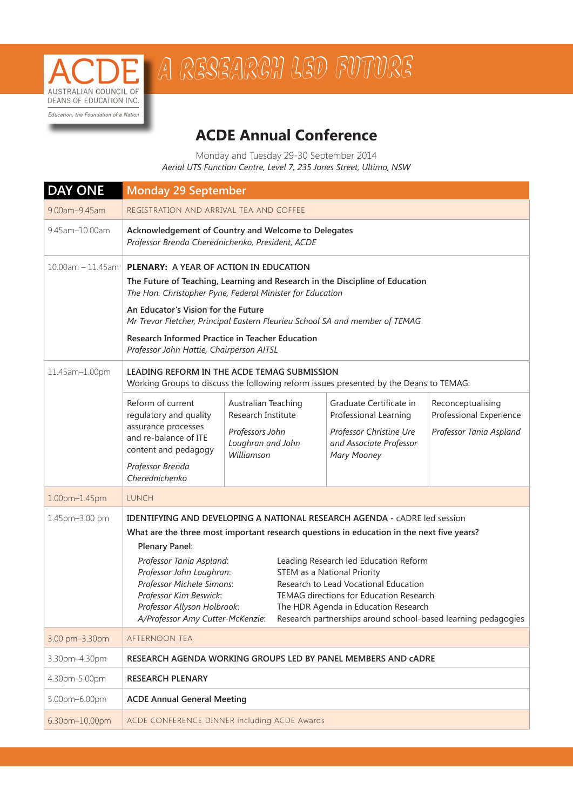

## A RESEARCH LED FUTURE

## **ACDE Annual Conference**

Monday and Tuesday 29-30 September 2014 *Aerial UTS Function Centre, Level 7, 235 Jones Street, Ultimo, NSW*

| <b>DAY ONE</b>         | <b>Monday 29 September</b>                                                                                                                                                                                                                                                                                                                                                                                                                                                   |                                                                                           |                                                  |                                                    |  |  |
|------------------------|------------------------------------------------------------------------------------------------------------------------------------------------------------------------------------------------------------------------------------------------------------------------------------------------------------------------------------------------------------------------------------------------------------------------------------------------------------------------------|-------------------------------------------------------------------------------------------|--------------------------------------------------|----------------------------------------------------|--|--|
| 9.00am-9.45am          | REGISTRATION AND ARRIVAL TEA AND COFFEE                                                                                                                                                                                                                                                                                                                                                                                                                                      |                                                                                           |                                                  |                                                    |  |  |
| 9.45am-10.00am         | Acknowledgement of Country and Welcome to Delegates<br>Professor Brenda Cherednichenko, President, ACDE                                                                                                                                                                                                                                                                                                                                                                      |                                                                                           |                                                  |                                                    |  |  |
| $10.00$ am $-11.45$ am | <b>PLENARY: A YEAR OF ACTION IN EDUCATION</b>                                                                                                                                                                                                                                                                                                                                                                                                                                |                                                                                           |                                                  |                                                    |  |  |
|                        | The Future of Teaching, Learning and Research in the Discipline of Education<br>The Hon. Christopher Pyne, Federal Minister for Education                                                                                                                                                                                                                                                                                                                                    |                                                                                           |                                                  |                                                    |  |  |
|                        | An Educator's Vision for the Future<br>Mr Trevor Fletcher, Principal Eastern Fleurieu School SA and member of TEMAG                                                                                                                                                                                                                                                                                                                                                          |                                                                                           |                                                  |                                                    |  |  |
|                        | Research Informed Practice in Teacher Education<br>Professor John Hattie, Chairperson AITSL                                                                                                                                                                                                                                                                                                                                                                                  |                                                                                           |                                                  |                                                    |  |  |
| 11.45am-1.00pm         | LEADING REFORM IN THE ACDE TEMAG SUBMISSION<br>Working Groups to discuss the following reform issues presented by the Deans to TEMAG:                                                                                                                                                                                                                                                                                                                                        |                                                                                           |                                                  |                                                    |  |  |
|                        | Reform of current                                                                                                                                                                                                                                                                                                                                                                                                                                                            | Australian Teaching                                                                       | Graduate Certificate in                          | Reconceptualising                                  |  |  |
|                        | regulatory and quality<br>assurance processes                                                                                                                                                                                                                                                                                                                                                                                                                                | Research Institute<br>Professors John                                                     | Professional Learning<br>Professor Christine Ure | Professional Experience<br>Professor Tania Aspland |  |  |
|                        | and re-balance of ITE<br>content and pedagogy                                                                                                                                                                                                                                                                                                                                                                                                                                | Loughran and John<br>Williamson                                                           | and Associate Professor<br><b>Mary Mooney</b>    |                                                    |  |  |
|                        | Professor Brenda<br>Cherednichenko                                                                                                                                                                                                                                                                                                                                                                                                                                           |                                                                                           |                                                  |                                                    |  |  |
| 1.00pm-1.45pm          | <b>LUNCH</b>                                                                                                                                                                                                                                                                                                                                                                                                                                                                 |                                                                                           |                                                  |                                                    |  |  |
| 1.45pm-3.00 pm         | <b>IDENTIFYING AND DEVELOPING A NATIONAL RESEARCH AGENDA - CADRE led session</b>                                                                                                                                                                                                                                                                                                                                                                                             |                                                                                           |                                                  |                                                    |  |  |
|                        |                                                                                                                                                                                                                                                                                                                                                                                                                                                                              | What are the three most important research questions in education in the next five years? |                                                  |                                                    |  |  |
|                        | Plenary Panel:<br>Professor Tania Aspland:<br>Leading Research led Education Reform<br>Professor John Loughran:<br><b>STEM as a National Priority</b><br>Professor Michele Simons:<br>Research to Lead Vocational Education<br>Professor Kim Beswick:<br>TEMAG directions for Education Research<br>Professor Allyson Holbrook:<br>The HDR Agenda in Education Research<br>Research partnerships around school-based learning pedagogies<br>A/Professor Amy Cutter-McKenzie: |                                                                                           |                                                  |                                                    |  |  |
|                        |                                                                                                                                                                                                                                                                                                                                                                                                                                                                              |                                                                                           |                                                  |                                                    |  |  |
|                        |                                                                                                                                                                                                                                                                                                                                                                                                                                                                              |                                                                                           |                                                  |                                                    |  |  |
|                        |                                                                                                                                                                                                                                                                                                                                                                                                                                                                              |                                                                                           |                                                  |                                                    |  |  |
| 3.00 pm-3.30pm         | AFTERNOON TEA                                                                                                                                                                                                                                                                                                                                                                                                                                                                |                                                                                           |                                                  |                                                    |  |  |
| 3.30pm-4.30pm          | RESEARCH AGENDA WORKING GROUPS LED BY PANEL MEMBERS AND CADRE                                                                                                                                                                                                                                                                                                                                                                                                                |                                                                                           |                                                  |                                                    |  |  |
| 4.30pm-5.00pm          | <b>RESEARCH PLENARY</b>                                                                                                                                                                                                                                                                                                                                                                                                                                                      |                                                                                           |                                                  |                                                    |  |  |
| 5.00pm-6.00pm          | <b>ACDE Annual General Meeting</b>                                                                                                                                                                                                                                                                                                                                                                                                                                           |                                                                                           |                                                  |                                                    |  |  |
| 6.30pm-10.00pm         | ACDE CONFERENCE DINNER including ACDE Awards                                                                                                                                                                                                                                                                                                                                                                                                                                 |                                                                                           |                                                  |                                                    |  |  |